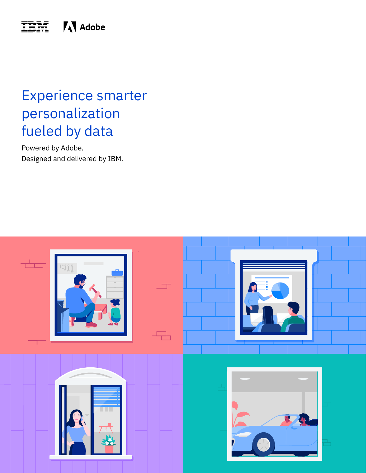**IBM** | **A** Adobe

## Experience smarter personalization fueled by data

Powered by Adobe. Designed and delivered by IBM.

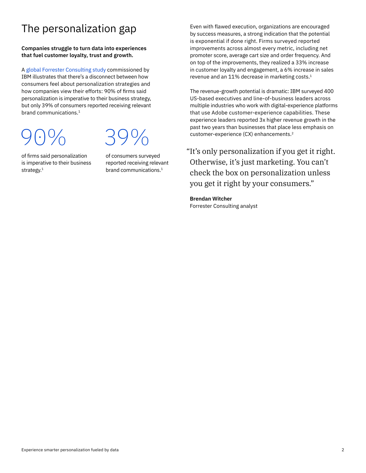### The personalization gap

### **Companies struggle to turn data into experiences that fuel customer loyalty, trust and growth.**

A [global Forrester Consulting study](http://www.ibm.com/account/reg/us-en/signup?formid=urx-43366) commissioned by IBM illustrates that there's a disconnect between how consumers feel about personalization strategies and how companies view their efforts: 90% of firms said personalization is imperative to their business strategy, but only 39% of consumers reported receiving relevant brand communications.1

90%

# 39%

of firms said personalization is imperative to their business strategy.<sup>1</sup>

of consumers surveyed reported receiving relevant brand communications.<sup>1</sup>

Even with flawed execution, organizations are encouraged by success measures, a strong indication that the potential is exponential if done right. Firms surveyed reported improvements across almost every metric, including net promoter score, average cart size and order frequency. And on top of the improvements, they realized a 33% increase in customer loyalty and engagement, a 6% increase in sales revenue and an 11% decrease in marketing costs.<sup>1</sup>

The revenue-growth potential is dramatic: IBM surveyed 400 US-based executives and line-of-business leaders across multiple industries who work with digital-experience platforms that use Adobe customer-experience capabilities. These experience leaders reported 3x higher revenue growth in the past two years than businesses that place less emphasis on customer-experience (CX) enhancements.2

"It's only personalization if you get it right. Otherwise, it's just marketing. You can't check the box on personalization unless you get it right by your consumers."

**Brendan Witcher** Forrester Consulting analyst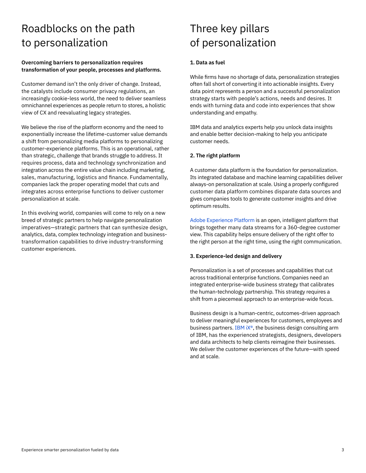### Roadblocks on the path to personalization

### **Overcoming barriers to personalization requires transformation of your people, processes and platforms.**

Customer demand isn't the only driver of change. Instead, the catalysts include consumer privacy regulations, an increasingly cookie-less world, the need to deliver seamless omnichannel experiences as people return to stores, a holistic view of CX and reevaluating legacy strategies.

We believe the rise of the platform economy and the need to exponentially increase the lifetime-customer value demands a shift from personalizing media platforms to personalizing customer-experience platforms. This is an operational, rather than strategic, challenge that brands struggle to address. It requires process, data and technology synchronization and integration across the entire value chain including marketing, sales, manufacturing, logistics and finance. Fundamentally, companies lack the proper operating model that cuts and integrates across enterprise functions to deliver customer personalization at scale.

In this evolving world, companies will come to rely on a new breed of strategic partners to help navigate personalization imperatives—strategic partners that can synthesize design, analytics, data, complex technology integration and businesstransformation capabilities to drive industry-transforming customer experiences.

### Three key pillars of personalization

### **1. Data as fuel**

While firms have no shortage of data, personalization strategies often fall short of converting it into actionable insights. Every data point represents a person and a successful personalization strategy starts with people's actions, needs and desires. It ends with turning data and code into experiences that show understanding and empathy.

IBM data and analytics experts help you unlock data insights and enable better decision-making to help you anticipate customer needs.

### **2. The right platform**

A customer data platform is the foundation for personalization. Its integrated database and machine learning capabilities deliver always-on personalization at scale. Using a properly configured customer data platform combines disparate data sources and gives companies tools to generate customer insights and drive optimum results.

[Adobe Experience Platform](http://adobe.com/experience-platform.html) is an open, intelligent platform that brings together many data streams for a 360-degree customer view. This capability helps ensure delivery of the right offer to the right person at the right time, using the right communication.

#### **3. Experience-led design and delivery**

Personalization is a set of processes and capabilities that cut across traditional enterprise functions. Companies need an integrated enterprise-wide business strategy that calibrates the human-technology partnership. This strategy requires a shift from a piecemeal approach to an enterprise-wide focus.

Business design is a human-centric, outcomes-driven approach to deliver meaningful experiences for customers, employees and business partners. [IBM iX®](http://ibmix.com), the business design consulting arm of IBM, has the experienced strategists, designers, developers and data architects to help clients reimagine their businesses. We deliver the customer experiences of the future—with speed and at scale.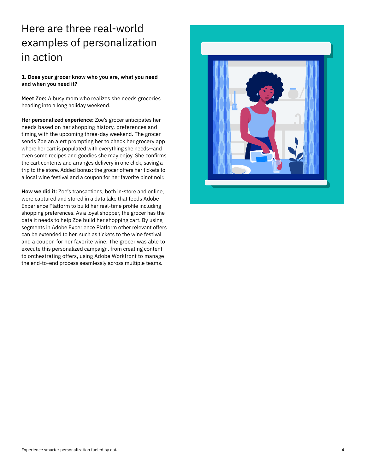### Here are three real-world examples of personalization in action

### **1. Does your grocer know who you are, what you need and when you need it?**

**Meet Zoe:** A busy mom who realizes she needs groceries heading into a long holiday weekend.

**Her personalized experience:** Zoe's grocer anticipates her needs based on her shopping history, preferences and timing with the upcoming three-day weekend. The grocer sends Zoe an alert prompting her to check her grocery app where her cart is populated with everything she needs—and even some recipes and goodies she may enjoy. She confirms the cart contents and arranges delivery in one click, saving a trip to the store. Added bonus: the grocer offers her tickets to a local wine festival and a coupon for her favorite pinot noir.

**How we did it:** Zoe's transactions, both in-store and online, were captured and stored in a data lake that feeds Adobe Experience Platform to build her real-time profile including shopping preferences. As a loyal shopper, the grocer has the data it needs to help Zoe build her shopping cart. By using segments in Adobe Experience Platform other relevant offers can be extended to her, such as tickets to the wine festival and a coupon for her favorite wine. The grocer was able to execute this personalized campaign, from creating content to orchestrating offers, using Adobe Workfront to manage the end-to-end process seamlessly across multiple teams.

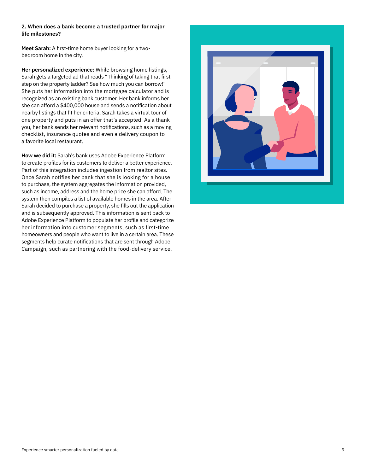#### **2. When does a bank become a trusted partner for major life milestones?**

**Meet Sarah:** A first-time home buyer looking for a twobedroom home in the city.

**Her personalized experience:** While browsing home listings, Sarah gets a targeted ad that reads "Thinking of taking that first step on the property ladder? See how much you can borrow!" She puts her information into the mortgage calculator and is recognized as an existing bank customer. Her bank informs her she can afford a \$400,000 house and sends a notification about nearby listings that fit her criteria. Sarah takes a virtual tour of one property and puts in an offer that's accepted. As a thank you, her bank sends her relevant notifications, such as a moving checklist, insurance quotes and even a delivery coupon to a favorite local restaurant.

**How we did it:** Sarah's bank uses Adobe Experience Platform to create profiles for its customers to deliver a better experience. Part of this integration includes ingestion from realtor sites. Once Sarah notifies her bank that she is looking for a house to purchase, the system aggregates the information provided, such as income, address and the home price she can afford. The system then compiles a list of available homes in the area. After Sarah decided to purchase a property, she fills out the application and is subsequently approved. This information is sent back to Adobe Experience Platform to populate her profile and categorize her information into customer segments, such as first-time homeowners and people who want to live in a certain area. These segments help curate notifications that are sent through Adobe Campaign, such as partnering with the food-delivery service.

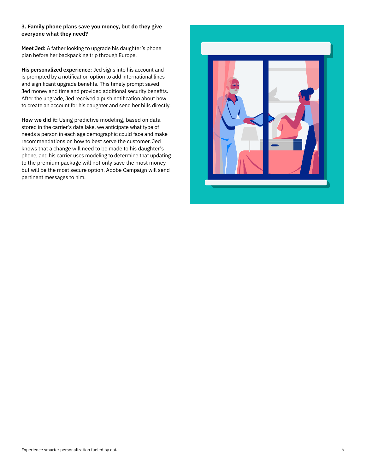### **3. Family phone plans save you money, but do they give everyone what they need?**

**Meet Jed:** A father looking to upgrade his daughter's phone plan before her backpacking trip through Europe.

**His personalized experience:** Jed signs into his account and is prompted by a notification option to add international lines and significant upgrade benefits. This timely prompt saved Jed money and time and provided additional security benefits. After the upgrade, Jed received a push notification about how to create an account for his daughter and send her bills directly.

**How we did it:** Using predictive modeling, based on data stored in the carrier's data lake, we anticipate what type of needs a person in each age demographic could face and make recommendations on how to best serve the customer. Jed knows that a change will need to be made to his daughter's phone, and his carrier uses modeling to determine that updating to the premium package will not only save the most money but will be the most secure option. Adobe Campaign will send pertinent messages to him.

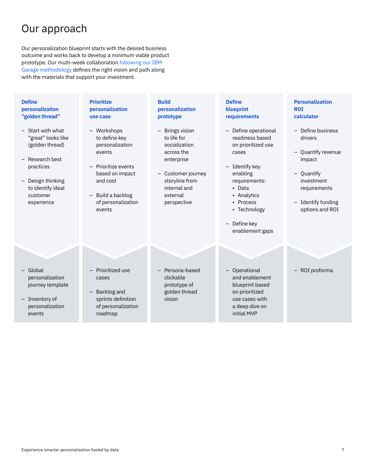### Our approach

Our personalization blueprint starts with the desired business outcome and works back to develop a minimum viable product prototype. Our multi-week collaboration [following our IBM](https://www.ibm.com/garage)  [Garage methodology](https://www.ibm.com/garage) defines the right vision and path along with the materials that support your investment.

| <b>Define</b><br>personalization<br>"golden thread"                                            | <b>Prioritize</b><br>personalization<br>use case                                                                    | <b>Build</b><br>personalization<br>prototype                                    | <b>Define</b><br>blueprint<br>requirements                                                                                            | <b>Personalization</b><br><b>ROI</b><br>calculator                                |
|------------------------------------------------------------------------------------------------|---------------------------------------------------------------------------------------------------------------------|---------------------------------------------------------------------------------|---------------------------------------------------------------------------------------------------------------------------------------|-----------------------------------------------------------------------------------|
| - Start with what<br>"great" looks like<br>(golden thread)<br>- Research best<br>practices     | - Workshops<br>to define key<br>personalization<br>events<br>Prioritize events                                      | - Brings vision<br>to life for<br>socialization<br>across the<br>enterprise     | - Define operational<br>readiness based<br>on prioritized use<br>cases<br>- Identify key                                              | - Define business<br>drivers<br>- Quantify revenue<br>impact                      |
| - Design thinking<br>to identify ideal<br>customer<br>experience                               | based on impact<br>and cost<br>- Build a backlog<br>of personalization<br>events                                    | - Customer journey<br>storyline from<br>internal and<br>external<br>perspective | enabling<br>requirements:<br>• Data<br>• Analytics<br>• Process<br>• Technology<br>Define key<br>$\qquad \qquad -$<br>enablement gaps | - Quantify<br>investment<br>requirements<br>- Identify funding<br>options and ROI |
|                                                                                                |                                                                                                                     |                                                                                 |                                                                                                                                       |                                                                                   |
| - Global<br>personalization<br>journey template<br>- Inventory of<br>personalization<br>events | Prioritized use<br>cases<br>Backlog and<br>$\qquad \qquad -$<br>sprints definition<br>of personalization<br>roadmap | Persona-based<br>clickable<br>prototype of<br>golden thread<br>vision           | - Operational<br>and enablement<br>blueprint based<br>on prioritized<br>use cases with<br>a deep dive on<br>initial MVP               | ROI proforma                                                                      |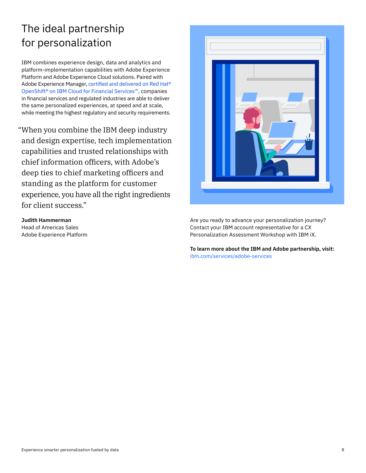### The ideal partnership for personalization

IBM combines experience design, data and analytics and platform-implementation capabilities with Adobe Experience Platform and Adobe Experience Cloud solutions. Paired with Adobe Experience Manager, [certified and delivered on Red Hat®](http://www.ibm.com/partners/showcase/financial-services/solution/adobeaem)  [OpenShift® on IBM Cloud for Financial Services™](http://www.ibm.com/partners/showcase/financial-services/solution/adobeaem), companies in financial services and regulated industries are able to deliver the same personalized experiences, at speed and at scale, while meeting the highest regulatory and security requirements.

"When you combine the IBM deep industry and design expertise, tech implementation capabilities and trusted relationships with chief information officers, with Adobe's deep ties to chief marketing officers and standing as the platform for customer experience, you have all the right ingredients for client success."

**Judith Hammerman** Head of Americas Sales Adobe Experience Platform



Are you ready to advance your personalization journey? Contact your IBM account representative for a CX Personalization Assessment Workshop with IBM iX.

**To learn more about the IBM and Adobe partnership, visit:**  [ibm.com/services/adobe-services](https://www.ibm.com/services/adobe-services)